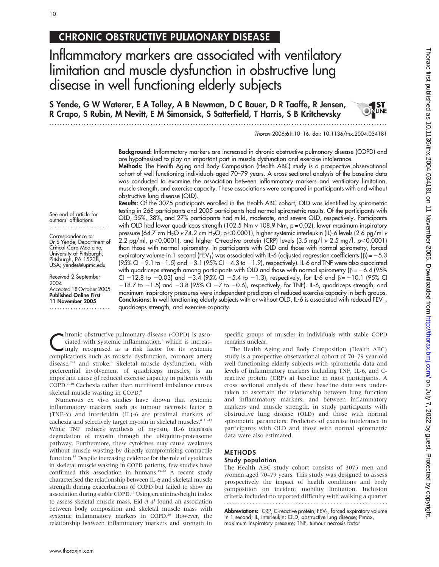## CHRONIC OBSTRUCTIVE PULMONARY DISEASE

Inflammatory markers are associated with ventilatory limitation and muscle dysfunction in obstructive lung disease in well functioning elderly subjects

S Yende, G W Waterer, E A Tolley, A B Newman, D C Bauer, D R Taaffe, R Jensen, R Crapo, S Rubin, M Nevitt, E M Simonsick, S Satterfield, T Harris, S B Kritchevsky

...............................................................................................................................

Background: Inflammatory markers are increased in chronic obstructive pulmonary disease (COPD) and are hypothesised to play an important part in muscle dysfunction and exercise intolerance. Methods: The Health Aging and Body Composition (Health ABC) study is a prospective observational cohort of well functioning individuals aged 70–79 years. A cross sectional analysis of the baseline data

was conducted to examine the association between inflammatory markers and ventilatory limitation, muscle strength, and exercise capacity. These associations were compared in participants with and without obstructive lung disease (OLD). Results: Of the 3075 participants enrolled in the Health ABC cohort, OLD was identified by spirometric

See end of article for authors' affiliations .......................

Correspondence to: Dr S Yende, Department of Critical Care Medicine, University of Pittsburgh, Pittsburgh, PA 15238, USA; yendes@upmc.edu

Received 2 September 2004 Accepted 18 October 2005 Published Online First 11 November 2005 .......................

testing in 268 participants and 2005 participants had normal spirometric results. Of the participants with OLD, 35%, 38%, and 27% participants had mild, moderate, and severe OLD, respectively. Participants with OLD had lower quadriceps strength (102.5 Nm  $v$  108.9 Nm,  $p = 0.02$ ), lower maximum inspiratory pressure (64.7 cm H<sub>2</sub>O v 74.2 cm H<sub>2</sub>O, p<0.0001), higher systemic interleukin (IL)-6 levels (2.6 pg/ml v 2.2 pg/ml, p $<$ 0.0001), and higher C-reactive protein (CRP) levels (3.5 mg/l v 2.5 mg/l, p $<$ 0.0001) than those with normal spirometry. In participants with OLD and those with normal spirometry, forced expiratory volume in 1 second (FEV<sub>1</sub>) was associated with IL-6 (adjusted regression coefficients ( $\beta$ ) = -5.3 (95% CI  $-$  9.1 to $-1.5$ ) and  $-3.1$  (95% CI  $-4.3$  to  $-1.9$ ), respectively). IL-6 and TNF were also associated with quadriceps strength among participants with OLD and those with normal spirometry ( $\beta = -6.4$  (95% CI -12.8 to -0.03) and -3.4 (95% CI -5.4 to -1.3), respectively, for IL-6 and  $\beta = -10.1$  (95% CI  $-18.7$  to  $-1.5$ ) and  $-3.8$  (95% CI  $-7$  to  $-0.6$ ), respectively, for TNF). IL-6, quadriceps strength, and maximum inspiratory pressures were independent predictors of reduced exercise capacity in both groups. **Conclusions:** In well functioning elderly subjects with or without OLD, IL-6 is associated with reduced FEV<sub>1</sub>, quadriceps strength, and exercise capacity.

**Chronic obstructive pulmonary disease (COPD) is asso-**<br>ciated with systemic inflammation,<sup>1</sup> which is increas-<br>ingly recognised as a risk factor for its systemic<br>semplications such as much disfunction ciated with systemic inflammation,<sup>1</sup> which is increascomplications such as muscle dysfunction, coronary artery disease,<sup>2-5</sup> and stroke.<sup>6</sup> Skeletal muscle dysfunction, with preferential involvement of quadriceps muscles, is an important cause of reduced exercise capacity in patients with COPD.7–10 Cachexia rather than nutritional imbalance causes skeletal muscle wasting in COPD.<sup>8</sup>

Numerous ex vivo studies have shown that systemic inflammatory markers such as tumour necrosis factor  $\alpha$ (TNF-a) and interleukin (IL)-6 are proximal markers of cachexia and selectively target myosin in skeletal muscles.<sup>8 11-13</sup> While TNF reduces synthesis of myosin, IL-6 increases degradation of myosin through the ubiquitin-proteasome pathway. Furthermore, these cytokines may cause weakness without muscle wasting by directly compromising contractile function.14 Despite increasing evidence for the role of cytokines in skeletal muscle wasting in COPD patients, few studies have confirmed this association in humans.<sup>15–18</sup> A recent study characterised the relationship between IL-6 and skeletal muscle strength during exacerbations of COPD but failed to show an association during stable COPD.19 Using creatinine-height index to assess skeletal muscle mass, Eid et al found an association between body composition and skeletal muscle mass with systemic inflammatory markers in COPD.<sup>20</sup> However, the relationship between inflammatory markers and strength in

specific groups of muscles in individuals with stable COPD remains unclear.

The Health Aging and Body Composition (Health ABC) study is a prospective observational cohort of 70–79 year old well functioning elderly subjects with spirometric data and levels of inflammatory markers including TNF, IL-6, and Creactive protein (CRP) at baseline in most participants. A cross sectional analysis of these baseline data was undertaken to ascertain the relationship between lung function and inflammatory markers, and between inflammatory markers and muscle strength, in study participants with obstructive lung disease (OLD) and those with normal spirometric parameters. Predictors of exercise intolerance in participants with OLD and those with normal spirometric data were also estimated.

## METHODS

## Study population

The Health ABC study cohort consists of 3075 men and women aged 70–79 years. This study was designed to assess prospectively the impact of health conditions and body composition on incident mobility limitation. Inclusion criteria included no reported difficulty with walking a quarter

**Abbreviations:** CRP, C-reactive protein; FEV<sub>1</sub>, forced expiratory volume<br>in 1 second; IL, interleukin; OLD, obstructive lung disease; Pımax, maximum inspiratory pressure; TNF, tumour necrosis factor

Thorax 2006;61:10–16. doi: 10.1136/thx.2004.034181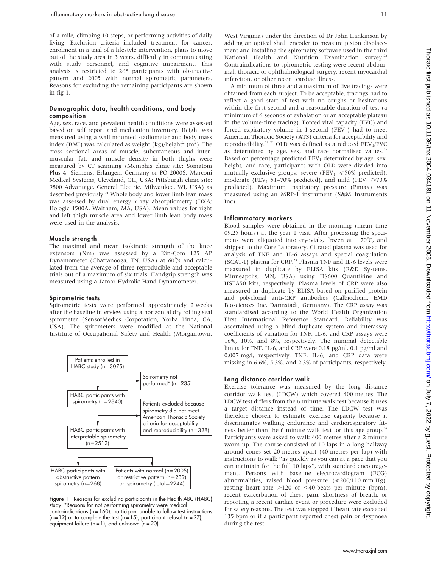of a mile, climbing 10 steps, or performing activities of daily living. Exclusion criteria included treatment for cancer, enrolment in a trial of a lifestyle intervention, plans to move out of the study area in 3 years, difficulty in communicating with study personnel, and cognitive impairment. This analysis is restricted to 268 participants with obstructive pattern and 2005 with normal spirometric parameters. Reasons for excluding the remaining participants are shown in fig 1.

#### Demographic data, health conditions, and body composition

Age, sex, race, and prevalent health conditions were assessed based on self report and medication inventory. Height was measured using a wall mounted stadiometer and body mass index (BMI) was calculated as weight (kg)/height<sup>2</sup> (m<sup>2</sup>). The cross sectional areas of muscle, subcutaneous and intermuscular fat, and muscle density in both thighs were measured by CT scanning (Memphis clinic site: Somatom Plus 4, Siemens, Erlangen, Germany or PQ 2000S, Marconi Medical Systems, Cleveland, OH, USA; Pittsburgh clinic site: 9800 Advantage, General Electric, Milwaukee, WI, USA) as described previously.<sup>21</sup> Whole body and lower limb lean mass was assessed by dual energy  $x$  ray absorptiometry (DXA; Hologic 4500A, Waltham, MA, USA). Mean values for right and left thigh muscle area and lower limb lean body mass were used in the analysis.

#### Muscle strength

The maximal and mean isokinetic strength of the knee extensors (Nm) was assessed by a Kin-Com 125 AP Dynamometer (Chattanooga, TN, USA) at 60˚/s and calculated from the average of three reproducible and acceptable trials out of a maximum of six trials. Handgrip strength was measured using a Jamar Hydrolic Hand Dynamometer.

#### Spirometric tests

Spirometric tests were performed approximately 2 weeks after the baseline interview using a horizontal dry rolling seal spirometer (SensorMedics Corporation, Yorba Linda, CA, USA). The spirometers were modified at the National Institute of Occupational Safety and Health (Morgantown,



Figure 1 Reasons for excluding participants in the Health ABC (HABC) study. \*Reasons for not performing spirometry were medical contraindications (n = 160), participant unable to follow test instructions  $(n = 12)$  or to complete the test  $(n = 15)$ , participant refusal  $(n = 27)$ , equipment failure  $(n = 1)$ , and unknown  $(n = 20)$ .

West Virginia) under the direction of Dr John Hankinson by adding an optical shaft encoder to measure piston displacement and installing the spirometry software used in the third National Health and Nutrition Examination survey.<sup>22</sup> Contraindications to spirometric testing were recent abdominal, thoracic or ophthalmological surgery, recent myocardial infarction, or other recent cardiac illness.

A minimum of three and a maximum of five tracings were obtained from each subject. To be acceptable, tracings had to reflect a good start of test with no coughs or hesitations within the first second and a reasonable duration of test (a minimum of 6 seconds of exhalation or an acceptable plateau in the volume-time tracing). Forced vital capacity (FVC) and forced expiratory volume in 1 second  $(FEV<sub>1</sub>)$  had to meet American Thoracic Society (ATS) criteria for acceptability and reproducibility.<sup>23</sup> <sup>24</sup> OLD was defined as a reduced  $FEV<sub>1</sub>/FVC$ as determined by age, sex, and race normalised values.<sup>22</sup> Based on percentage predicted  $FEV<sub>1</sub>$  determined by age, sex, height, and race, participants with OLD were divided into mutually exclusive groups: severe (FEV<sub>1</sub>  $\leq 50\%$  predicted), moderate (FEV<sub>1</sub> 51–70% predicted), and mild (FEV<sub>1</sub>  $\geq$ 70% predicted). Maximum inspiratory pressure (Pimax) was measured using an MRP-1 instrument (S&M Instruments Inc).

#### Inflammatory markers

Blood samples were obtained in the morning (mean time 09.25 hours) at the year 1 visit. After processing the specimens were aliquoted into cryovials, frozen at  $-70^{\circ}$ C, and shipped to the Core Laboratory. Citrated plasma was used for analysis of TNF and IL-6 assays and special coagulation (SCAT-I) plasma for CRP.<sup>25</sup> Plasma TNF and IL-6 levels were measured in duplicate by ELISA kits (R&D Systems, Minneapolis, MN, USA) using HS600 Quantikine and HSTA50 kits, respectively. Plasma levels of CRP were also measured in duplicate by ELISA based on purified protein and polyclonal anti-CRP antibodies (Calbiochem, EMD Biosciences Inc, Darmstadt, Germany). The CRP assay was standardised according to the World Health Organization First International Reference Standard. Reliability was ascertained using a blind duplicate system and interassay coefficients of variation for TNF, IL-6, and CRP assays were 16%, 10%, and 8%, respectively. The minimal detectable limits for TNF, IL-6, and CRP were 0.18 pg/ml, 0.1 pg/ml and 0.007 mg/l, respectively. TNF, IL-6, and CRP data were missing in 6.6%, 5.3%, and 2.3% of participants, respectively.

#### Long distance corridor walk

Exercise tolerance was measured by the long distance corridor walk test (LDCW) which covered 400 metres. The LDCW test differs from the 6 minute walk test because it uses a target distance instead of time. The LDCW test was therefore chosen to estimate exercise capacity because it discriminates walking endurance and cardiorespiratory fitness better than the 6 minute walk test for this age group.<sup>26</sup> Participants were asked to walk 400 metres after a 2 minute warm-up. The course consisted of 10 laps in a long hallway around cones set 20 metres apart (40 metres per lap) with instructions to walk ''as quickly as you can at a pace that you can maintain for the full 10 laps'', with standard encouragement. Persons with baseline electrocardiogram (ECG) abnormalities, raised blood pressure  $(\geq 200/110 \text{ mm Hg})$ , resting heart rate  $>120$  or <40 beats per minute (bpm), recent exacerbation of chest pain, shortness of breath, or reporting a recent cardiac event or procedure were excluded for safety reasons. The test was stopped if heart rate exceeded 135 bpm or if a participant reported chest pain or dyspnoea during the test.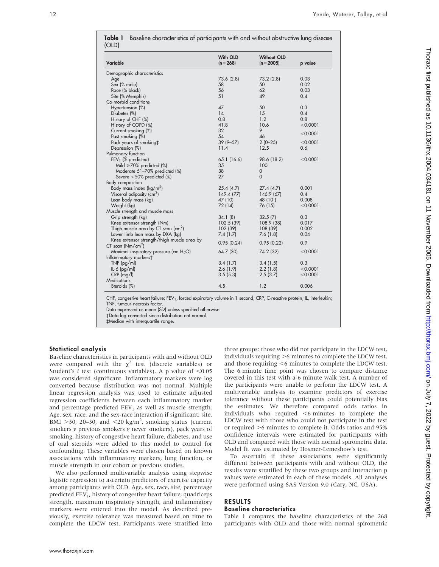| Variable                                            | With OLD<br>$(n = 268)$ | <b>Without OLD</b><br>$(n = 2005)$ | p value    |
|-----------------------------------------------------|-------------------------|------------------------------------|------------|
| Demographic characteristics                         |                         |                                    |            |
| Age                                                 | 73.6 (2.8)              | 73.2(2.8)                          | 0.03       |
| Sex (% male)                                        | 58                      | 50                                 | 0.02       |
| Race (% black)                                      | 56                      | 62                                 | 0.03       |
| Site (% Memphis)                                    | 51                      | 49                                 | 0.4        |
| Co-morbid conditions                                |                         |                                    |            |
| Hypertension (%)                                    | 47                      | 50                                 | 0.3        |
| Diabetes (%)                                        | 14                      | 15                                 | 0.4        |
| History of CHF (%)                                  | 0.8                     | 1.2                                | 0.8        |
| History of COPD (%)                                 | 41.8                    | 10.6                               | $<$ 0.0001 |
| Current smoking (%)                                 | 32                      | 9                                  |            |
| Past smoking (%)                                    | 54                      | 46                                 | < 0.0001   |
| Pack years of smoking‡                              | $39(9 - 57)$            | $2(0-25)$                          | < 0.0001   |
| Depression (%)                                      | 11.4                    | 12.5                               | 0.6        |
| Pulmonary function                                  |                         |                                    |            |
| $FEV1$ (% predicted)                                | 65.1 (16.6)             | 98.6 (18.2)                        | < 0.0001   |
| Mild $\geq 70\%$ predicted (%)                      | 35                      | 100                                |            |
| Moderate 51-70% predicted (%)                       | 38                      | $\mathbf 0$                        |            |
| Severe $<$ 50% predicted (%)                        | 27                      | $\Omega$                           |            |
| Body composition                                    |                         |                                    |            |
| Body mass index ( $\text{kg/m}^2$ )                 | 25.4(4.7)               | 27.4(4.7)                          | 0.001      |
| Visceral adiposity (cm <sup>2</sup> )               | 149.4(77)               | 146.9 (67)                         | 0.4        |
| Lean body mass (kg)                                 | 47 (10)                 | 48 (10)                            | 0.008      |
| Weight (kg)                                         | 72 (14)                 | 76 (15)                            | $<$ 0.0001 |
| Muscle strength and muscle mass                     |                         |                                    |            |
| Grip strength (kg)                                  | 34.1(8)                 | 32.5(7)                            | 0.3        |
| Knee extensor strength (Nm)                         | 102.5 (39)              | 108.9 (38)                         | 0.017      |
| Thigh muscle area by CT scan $\text{(cm}^2\text{)}$ | 102 (39)                | 108 (39)                           | 0.002      |
| Lower limb lean mass by DXA (kg)                    | 7.4(1.7)                | 7.6(1.8)                           | 0.04       |
| Knee extensor strength/thigh muscle area by         | 0.95(0.24)              |                                    | 0.9        |
| $CT$ scan ( $Nm/cm2$ )                              |                         | 0.95(0.22)                         |            |
| Maximal inspiratory pressure (cm $H_2O$ )           | 64.7 (30)               | 74.2 (32)                          | < 0.0001   |
| Inflammatory markers†                               |                         |                                    |            |
| $TNF$ (pg/ml)                                       | 3.4(1.7)                | 3.4(1.5)                           | 0.3        |
| $IL-6$ (pg/ml)                                      | 2.6(1.9)                | 2.2(1.8)                           | $<$ 0.0001 |
| $CRP$ (mg/l)                                        | 3.5(5.3)                | 2.5(3.7)                           | < 0.0001   |
| <b>Medications</b>                                  |                         |                                    |            |
| Steroids (%)                                        | 4.5                     | 1.2                                | 0.006      |

|       | <b>Table 1</b> Baseline characteristics of participants with and without obstructive lung disease |  |  |
|-------|---------------------------------------------------------------------------------------------------|--|--|
| (OLD) |                                                                                                   |  |  |

CHF, congestive heart failure; FEV<sub>1</sub>, forced expiratory volume in 1 second; CRP, C-reactive protein; IL, interleukin; TNF, tumour necrosis factor.

Data expressed as mean (SD) unless specified otherwise.

Data log converted since distribution not normal.

`Median with interquartile range.

## Statistical analysis

Baseline characteristics in participants with and without OLD were compared with the  $\chi^2$  test (discrete variables) or Student's t test (continuous variables). A p value of  $< 0.05$ was considered significant. Inflammatory markers were log converted because distribution was not normal. Multiple linear regression analysis was used to estimate adjusted regression coefficients between each inflammatory marker and percentage predicted  $FEV<sub>1</sub>$  as well as muscle strength. Age, sex, race, and the sex-race interaction if significant, site, BMI >30, 20-30, and <20 kg/m<sup>2</sup>, smoking status (current smokers  $\nu$  previous smokers  $\nu$  never smokers), pack years of smoking, history of congestive heart failure, diabetes, and use of oral steroids were added to this model to control for confounding. These variables were chosen based on known associations with inflammatory markers, lung function, or muscle strength in our cohort or previous studies.

We also performed multivariable analysis using stepwise logistic regression to ascertain predictors of exercise capacity among participants with OLD. Age, sex, race, site, percentage predicted FEV<sub>1</sub>, history of congestive heart failure, quadriceps strength, maximum inspiratory strength, and inflammatory markers were entered into the model. As described previously, exercise tolerance was measured based on time to complete the LDCW test. Participants were stratified into

three groups: those who did not participate in the LDCW test, individuals requiring  $>6$  minutes to complete the LDCW test, and those requiring  $<$ 6 minutes to complete the LDCW test. The 6 minute time point was chosen to compare distance covered in this test with a 6 minute walk test. A number of the participants were unable to perform the LDCW test. A multivariable analysis to examine predictors of exercise tolerance without these participants could potentially bias the estimates. We therefore compared odds ratios in individuals who required  $\leq$ 6 minutes to complete the LDCW test with those who could not participate in the test or required  $>6$  minutes to complete it. Odds ratios and 95% confidence intervals were estimated for participants with OLD and compared with those with normal spirometric data. Model fit was estimated by Hosmer-Lemeshow's test.

To ascertain if these associations were significantly different between participants with and without OLD, the results were stratified by these two groups and interaction p values were estimated in each of these models. All analyses were performed using SAS Version 9.0 (Cary, NC, USA).

## RESULTS Baseline characteristics

Table 1 compares the baseline characteristics of the 268 participants with OLD and those with normal spirometric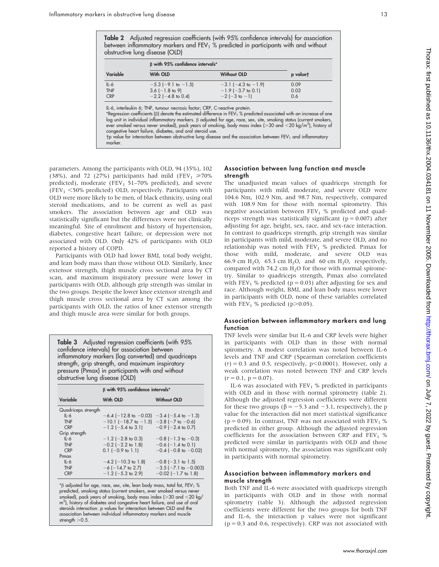| <b>Table 2</b> Adjusted regression coefficients (with 95% confidence intervals) for association |  |  |
|-------------------------------------------------------------------------------------------------|--|--|
| between inflammatory markers and FEV $_1$ % predicted in participants with and without          |  |  |
| obstructive lung disease (OLD)                                                                  |  |  |

|                                    | B with 95% confidence intervals*                                         |                                                                             |                     |
|------------------------------------|--------------------------------------------------------------------------|-----------------------------------------------------------------------------|---------------------|
| Variable                           | With OLD                                                                 | <b>Without OLD</b>                                                          | p valuet            |
| $IL-6$<br><b>TNF</b><br><b>CRP</b> | $-5.3$ (-9.1 to $-1.5$ )<br>$3.6$ (-1.8 to 9)<br>$-2.2$ ( $-4.8$ to 0.4) | $-3.1$ ( $-4.3$ to $-1.9$ )<br>$-1.9$ ( $-3.7$ to 0.1)<br>$-2(-3$ to $-1$ ) | 0.09<br>0.03<br>0.6 |

IL-6, interleukin 6; TNF, tumour necrosis factor; CRP, C-reactive protein.<br>\*Regression coefficients (β) denote the estimated difference in FEV1 % predicted associated with an increase of one  $\log$  unit in individual inflammatory markers.  $\beta$  adjusted for age, race, sex, site, smoking status (current smokers, ever smoked versus never smoked), pack years of smoking, body mass index (>30 and <20 kg/m<sup>2</sup>), history of congestive heart failure, diabetes, and oral steroid use.

 $tp$  value for interaction between obstructive lung disease and the association between FEV<sub>1</sub> and inflammatory marker.

parameters. Among the participants with OLD, 94 (35%), 102 (38%), and 72 (27%) participants had mild (FEV<sub>1</sub>  $\geq 70\%$ ) predicted), moderate (FEV<sub>1</sub> 51–70% predicted), and severe (FEV<sub>1</sub>  $<$  50% predicted) OLD, respectively. Participants with OLD were more likely to be men, of black ethnicity, using oral steroid medications, and to be current as well as past smokers. The association between age and OLD was statistically significant but the differences were not clinically meaningful. Site of enrolment and history of hypertension, diabetes, congestive heart failure, or depression were not associated with OLD. Only 42% of participants with OLD reported a history of COPD.

Participants with OLD had lower BMI, total body weight, and lean body mass than those without OLD. Similarly, knee extensor strength, thigh muscle cross sectional area by CT scan, and maximum inspiratory pressure were lower in participants with OLD, although grip strength was similar in the two groups. Despite the lower knee extensor strength and thigh muscle cross sectional area by CT scan among the participants with OLD, the ratios of knee extensor strength and thigh muscle area were similar for both groups.

Table 3 Adjusted regression coefficients (with 95% confidence intervals) for association between inflammatory markers (log converted) and quadriceps strength, grip strength, and maximum inspiratory pressure (PImax) in participants with and without obstructive lung disease (OLD)

|                     | B with 95% confidence intervals* |                               |  |  |
|---------------------|----------------------------------|-------------------------------|--|--|
| Variable            | With OLD                         | <b>Without OLD</b>            |  |  |
| Quadriceps strength |                                  |                               |  |  |
| $IL-6$              | $-6.4$ ( $-12.8$ to $-0.03$ )    | $-3.4$ ( $-5.4$ to $-1.3$ )   |  |  |
| <b>TNF</b>          | $-10.1$ ( $-18.7$ to $-1.5$ )    | $-3.8$ ( $-7$ to $-0.6$ )     |  |  |
| <b>CRP</b>          | $-1.2$ (-5.4 to 3.1)             | $-0.9$ ( $-2.4$ to 0.7)       |  |  |
| Grip strength       |                                  |                               |  |  |
| $II - 6$            | $-1.2$ (-2.8 to 0.3)             | $-0.8$ ( $-1.3$ to $-0.3$ )   |  |  |
| <b>TNF</b>          | $-0.2$ ( $-2.2$ to 1.8)          | $-0.6$ ( $-1.4$ to 0.1)       |  |  |
| <b>CRP</b>          | $0.1$ (-0.9 to 1.1)              | $-0.4$ ( $-0.8$ to $-0.02$ )  |  |  |
| Pimax               |                                  |                               |  |  |
| $IL-6$              | $-4.2$ ( $-10.3$ to 1.8)         | $-0.8$ ( $-3.1$ to 1.5)       |  |  |
| <b>TNF</b>          | $-6$ ( $-14.7$ to 2.7)           | $-3.5$ ( $-7.1$ to $-0.003$ ) |  |  |
| <b>CRP</b>          | $-1.2$ ( $-5.3$ to 2.9)          | $-0.02$ ( $-1.7$ to 1.8)      |  |  |

 $*\beta$  adjusted for age, race, sex, site, lean body mass, total fat, FEV<sub>1</sub> % predicted, smoking status (current smokers, ever smoked versus never smoked), pack years of smoking, body mass index ( $>$ 30 and  $<$ 20 kg/ m<sup>2</sup>), history of diabetes and congestive heart failure, and use of oral steroids interaction. p values for interaction between OLD and the association between individual inflammatory markers and muscle strength  $>$  0.5.

## Association between lung function and muscle strength

The unadjusted mean values of quadriceps strength for participants with mild, moderate, and severe OLD were 104.6 Nm, 102.9 Nm, and 98.7 Nm, respectively, compared with 108.9 Nm for those with normal spirometry. This negative association between  $FEV<sub>1</sub>$  % predicted and quadriceps strength was statistically significant ( $p = 0.007$ ) after adjusting for age, height, sex, race, and sex-race interaction. In contrast to quadriceps strength, grip strength was similar in participants with mild, moderate, and severe OLD, and no relationship was noted with  $FEV<sub>1</sub>$  % predicted. Pimax for those with mild, moderate, and severe OLD was 66.9 cm H<sub>2</sub>O, 65.3 cm H<sub>2</sub>O, and 60 cm H<sub>2</sub>O, respectively, compared with 74.2 cm  $H<sub>2</sub>O$  for those with normal spirometry. Similar to quadriceps strength, PImax also correlated with FEV<sub>1</sub> % predicted ( $p = 0.03$ ) after adjusting for sex and race. Although weight, BMI, and lean body mass were lower in participants with OLD, none of these variables correlated with  $FEV_1$  % predicted (p $>0.05$ ).

## Association between inflammatory markers and lung function

TNF levels were similar but IL-6 and CRP levels were higher in participants with OLD than in those with normal spirometry. A modest correlation was noted between IL-6 levels and TNF and CRP (Spearman correlation coefficients  $(r) = 0.3$  and 0.5, respectively,  $p \le 0.0001$ ). However, only a weak correlation was noted between TNF and CRP levels  $(r = 0.1, p = 0.07).$ 

IL-6 was associated with  $FEV<sub>1</sub>$ % predicted in participants with OLD and in those with normal spirometry (table 2). Although the adjusted regression coefficients were different for these two groups ( $\beta = -5.3$  and  $-3.1$ , respectively), the p value for the interaction did not meet statistical significance ( $p = 0.09$ ). In contrast, TNF was not associated with FEV<sub>1</sub> % predicted in either group. Although the adjusted regression coefficients for the association between CRP and  $FEV<sub>1</sub>$  % predicted were similar in participants with OLD and those with normal spirometry, the association was significant only in participants with normal spirometry.

## Association between inflammatory markers and muscle strength

Both TNF and IL-6 were associated with quadriceps strength in participants with OLD and in those with normal spirometry (table 3). Although the adjusted regression coefficients were different for the two groups for both TNF and IL-6, the interaction p values were not significant  $(p = 0.3$  and 0.6, respectively). CRP was not associated with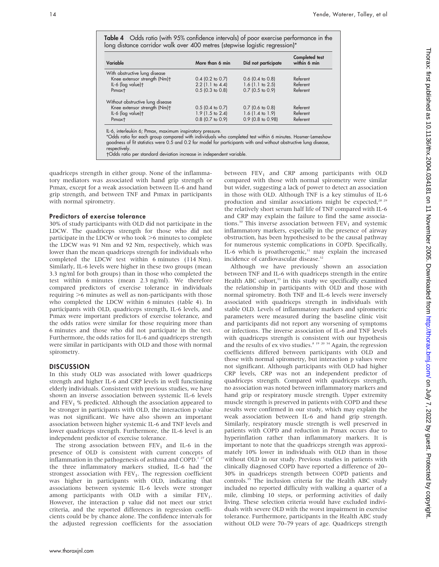Table 4 Odds ratio (with 95% confidence intervals) of poor exercise performance in the long distance corridor walk over 400 metres (stepwise logistic regression)\*

| Variable                         | More than 6 min    | Did not participate | <b>Completed</b> test<br>within 6 min |
|----------------------------------|--------------------|---------------------|---------------------------------------|
| With obstructive lung disease    |                    |                     |                                       |
| Knee extensor strength (Nm)+     | $0.4$ (0.2 to 0.7) | $0.6$ (0.4 to 0.8)  | Referent                              |
| IL-6 (log value) <sup>+</sup>    | $2.2$ (1.1 to 4.4) | $1.6$ (1.1 to 2.5)  | Referent                              |
| Pimax <sup>+</sup>               | $0.5$ (0.3 to 0.8) | $0.7$ (0.5 to 0.9)  | Referent                              |
| Without obstructive lung disease |                    |                     |                                       |
| Knee extensor strength (Nm)+     | $0.5$ (0.4 to 0.7) | $0.7$ (0.6 to 0.8)  | Referent                              |
| IL-6 (log value)t                | $1.9$ (1.5 to 2.4) | $1.6$ (1.4 to 1.9)  | Referent                              |
| Pimax <sup>+</sup>               | $0.8$ (0.7 to 0.9) | 0.9 (0.8 to 0.98)   | Referent                              |

\*Odds ratio for each group compared with individuals who completed test within 6 minutes. Hosmer-Lemeshow goodness of fit statistics were 0.5 and 0.2 for model for participants with and without obstructive lung disease, *respectively* 

Odds ratio per standard deviation increase in independent variable.

quadriceps strength in either group. None of the inflammatory mediators was associated with hand grip strength or PImax, except for a weak association between IL-6 and hand grip strength, and between TNF and PImax in participants with normal spirometry.

#### Predictors of exercise tolerance

30% of study participants with OLD did not participate in the LDCW. The quadriceps strength for those who did not participate in the LDCW or who took  $>6$  minutes to complete the LDCW was 91 Nm and 92 Nm, respectively, which was lower than the mean quadriceps strength for individuals who completed the LDCW test within 6 minutes (114 Nm). Similarly, IL-6 levels were higher in these two groups (mean 3.3 ng/ml for both groups) than in those who completed the test within 6 minutes (mean 2.3 ng/ml). We therefore compared predictors of exercise tolerance in individuals requiring  $>6$  minutes as well as non-participants with those who completed the LDCW within 6 minutes (table 4). In participants with OLD, quadriceps strength, IL-6 levels, and Pimax were important predictors of exercise tolerance, and the odds ratios were similar for those requiring more than 6 minutes and those who did not participate in the test. Furthermore, the odds ratios for IL-6 and quadriceps strength were similar in participants with OLD and those with normal spirometry.

#### **DISCUSSION**

In this study OLD was associated with lower quadriceps strength and higher IL-6 and CRP levels in well functioning elderly individuals. Consistent with previous studies, we have shown an inverse association between systemic IL-6 levels and  $FEV<sub>1</sub>$ % predicted. Although the association appeared to be stronger in participants with OLD, the interaction p value was not significant. We have also shown an important association between higher systemic IL-6 and TNF levels and lower quadriceps strength. Furthermore, the IL-6 level is an independent predictor of exercise tolerance.

The strong association between  $FEV<sub>1</sub>$  and IL-6 in the presence of OLD is consistent with current concepts of inflammation in the pathogenesis of asthma and COPD.<sup>1 27</sup> Of the three inflammatory markers studied, IL-6 had the strongest association with  $FEV<sub>1</sub>$ . The regression coefficient was higher in participants with OLD, indicating that associations between systemic IL-6 levels were stronger among participants with OLD with a similar  $FEV_1$ . However, the interaction p value did not meet our strict criteria, and the reported differences in regression coefficients could be by chance alone. The confidence intervals for the adjusted regression coefficients for the association

between  $FEV<sub>1</sub>$  and CRP among participants with OLD compared with those with normal spirometry were similar but wider, suggesting a lack of power to detect an association in those with OLD. Although TNF is a key stimulus of IL-6 production and similar associations might be expected, $28\frac{29}{2}$ the relatively short serum half life of TNF compared with IL-6 and CRP may explain the failure to find the same associations.<sup>30</sup> This inverse association between  $FEV<sub>1</sub>$  and systemic inflammatory markers, especially in the presence of airway obstruction, has been hypothesised to be the causal pathway for numerous systemic complications in COPD. Specifically, IL-6 which is proatherogenic,<sup>31</sup> may explain the increased incidence of cardiovascular disease.<sup>32</sup>

Although we have previously shown an association between TNF and IL-6 with quadriceps strength in the entire Health ABC cohort,<sup>33</sup> in this study we specifically examined the relationship in participants with OLD and those with normal spirometry. Both TNF and IL-6 levels were inversely associated with quadriceps strength in individuals with stable OLD. Levels of inflammatory markers and spirometric parameters were measured during the baseline clinic visit and participants did not report any worsening of symptoms or infections. The inverse association of IL-6 and TNF levels with quadriceps strength is consistent with our hypothesis and the results of ex vivo studies.<sup>8 19 20 34</sup> Again, the regression coefficients differed between participants with OLD and those with normal spirometry, but interaction p values were not significant. Although participants with OLD had higher CRP levels, CRP was not an independent predictor of quadriceps strength. Compared with quadriceps strength, no association was noted between inflammatory markers and hand grip or respiratory muscle strength. Upper extremity muscle strength is preserved in patients with COPD and these results were confirmed in our study, which may explain the weak association between IL-6 and hand grip strength. Similarly, respiratory muscle strength is well preserved in patients with COPD and reduction in PImax occurs due to hyperinflation rather than inflammatory markers. It is important to note that the quadriceps strength was approximately 10% lower in individuals with OLD than in those without OLD in our study. Previous studies in patients with clinically diagnosed COPD have reported a difference of 20– 30% in quadriceps strength between COPD patients and controls.<sup>35</sup> The inclusion criteria for the Health ABC study included no reported difficulty with walking a quarter of a mile, climbing 10 steps, or performing activities of daily living. These selection criteria would have excluded individuals with severe OLD with the worst impairment in exercise tolerance. Furthermore, participants in the Health ABC study without OLD were 70–79 years of age. Quadriceps strength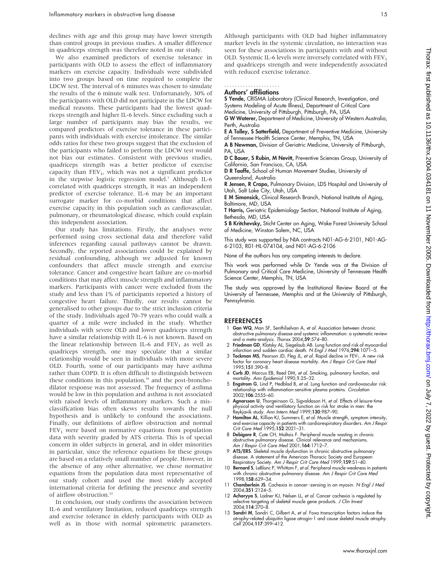declines with age and this group may have lower strength than control groups in previous studies. A smaller difference in quadriceps strength was therefore noted in our study.

We also examined predictors of exercise tolerance in participants with OLD to assess the effect of inflammatory markers on exercise capacity. Individuals were subdivided into two groups based on time required to complete the LDCW test. The interval of 6 minutes was chosen to simulate the results of the 6 minute walk test. Unfortunately, 30% of the participants with OLD did not participate in the LDCW for medical reasons. These participants had the lowest quadriceps strength and higher IL-6 levels. Since excluding such a large number of participants may bias the results, we compared predictors of exercise tolerance in these participants with individuals with exercise intolerance. The similar odds ratios for these two groups suggest that the exclusion of the participants who failed to perform the LDCW test would not bias our estimates. Consistent with previous studies, quadriceps strength was a better predictor of exercise capacity than  $FEV_1$ , which was not a significant predictor in the stepwise logistic regression model.7 Although IL-6 correlated with quadriceps strength, it was an independent predictor of exercise tolerance. IL-6 may be an important surrogate marker for co-morbid conditions that affect exercise capacity in this population such as cardiovascular, pulmonary, or rheumatological disease, which could explain this independent association.

Our study has limitations. Firstly, the analyses were performed using cross sectional data and therefore valid inferences regarding causal pathways cannot be drawn. Secondly, the reported associations could be explained by residual confounding, although we adjusted for known confounders that affect muscle strength and exercise tolerance. Cancer and congestive heart failure are co-morbid conditions that may affect muscle strength and inflammatory markers. Participants with cancer were excluded from the study and less than 1% of participants reported a history of congestive heart failure. Thirdly, our results cannot be generalised to other groups due to the strict inclusion criteria of the study. Individuals aged 70–79 years who could walk a quarter of a mile were included in the study. Whether individuals with severe OLD and lower quadriceps strength have a similar relationship with IL-6 is not known. Based on the linear relationship between IL-6 and  $FEV<sub>1</sub>$  as well as quadriceps strength, one may speculate that a similar relationship would be seen in individuals with more severe OLD. Fourth, some of our participants may have asthma rather than COPD. It is often difficult to distinguish between these conditions in this population,<sup>36</sup> and the post-bronchodilator response was not assessed. The frequency of asthma would be low in this population and asthma is not associated with raised levels of inflammatory markers. Such a misclassification bias often skews results towards the null hypothesis and is unlikely to confound the associations. Finally, our definitions of airflow obstruction and normal  $FEV<sub>1</sub>$  were based on normative equations from population data with severity graded by ATS criteria. This is of special concern in older subjects in general, and in older minorities in particular, since the reference equations for these groups are based on a relatively small number of people. However, in the absence of any other alternative, we chose normative equations from the population data most representative of our study cohort and used the most widely accepted international criteria for defining the presence and severity of airflow obstruction.<sup>22</sup>

In conclusion, our study confirms the association between IL-6 and ventilatory limitation, reduced quadriceps strength and exercise tolerance in elderly participants with OLD as well as in those with normal spirometric parameters. Although participants with OLD had higher inflammatory marker levels in the systemic circulation, no interaction was seen for these associations in participants with and without OLD. Systemic IL-6 levels were inversely correlated with  $FEV<sub>1</sub>$ and quadriceps strength and were independently associated with reduced exercise tolerance.

.....................

Authors' affiliations

S Yende, CRISMA Laboratory (Clinical Research, Investigation, and Systems Modeling of Acute Illness), Department of Critical Care Medicine, University of Pittsburgh, Pittsburgh, PA, USA

G W Waterer, Department of Medicine, University of Western Australia, Perth, Australia

E A Tolley, S Satterfield, Department of Preventive Medicine, University of Tennessee Health Science Center, Memphis, TN, USA

A B Newman, Division of Geriatric Medicine, University of Pittsburgh, PA, USA

D C Bauer, S Rubin, M Nevitt, Preventive Sciences Group, University of California, San Francisco, CA, USA

D R Taaffe, School of Human Movement Studies, University of Queensland, Australia

R Jensen, R Crapo, Pulmonary Division, LDS Hospital and University of Utah, Salt Lake City, Utah, USA

E M Simonsick, Clinical Research Branch, National Institute of Aging, Baltimore, MD, USA

T Harris, Geriatric Epidemiology Section, National Institute of Aging, Bethesda, MD, USA

S B Kritchevsky, Sticht Center on Aging, Wake Forest University School of Medicine, Winston Salem, NC, USA

This study was supported by NIA contracts N01-AG-6-2101, N01-AG-6-2103, R01-HL-074104, and N01-AG-6-2106

None of the authors has any competing interests to declare.

This work was performed while Dr Yende was at the Division of Pulmonary and Critical Care Medicine, University of Tennessee Health Science Center, Memphis, TN, USA

The study was approved by the Institutional Review Board at the University of Tennessee, Memphis and at the University of Pittsburgh, Pennsylvania.

#### REFERENCES

- 1 Gan WQ, Man SF, Senthilselvan A, et al. Association between chronic obstructive pulmonary disease and systemic inflammation: a systematic review and a meta-analysis. Thorax 2004;59:574–80.
- 2 Friedman GD, Klatsky AL, Siegelaub AB. Lung function and risk of myocardial infarction and sudden cardiac death. N Engl J Med 1976;294:1071–5.
- 3 Tockman MS, Pearson JD, Fleg JL, et al. Rapid decline in FEV<sub>1</sub>. A new risk factor for coronary heart disease mortality. Am J Respir Crit Care Med 1995;151:390–8.
- 4 Curb JD, Marcus EB, Reed DM, et al. Smoking, pulmonary function, and mortality. Ann Epidemiol 1990;1:25–32.
- 5 Engstrom G, Lind P, Hedblad B, et al. Lung function and cardiovascular risk: relationship with inflammation-sensitive plasma proteins. Circulation 2002;106:2555–60.
- 6 Agnarsson U, Thorgeirsson G, Sigvaldason H, et al. Effects of leisure-time physical activity and ventilatory function on risk for stroke in men: the Reykjavik study. Ann Intern Med 1999;130:987–90.
- 7 Hamilton AL, Killian KJ, Summers E, et al. Muscle strength, symptom intensity, and exercise capacity in patients with cardiorespiratory disorders. Am J Respir Crit Care Med 1995;152:2021–31.
- 8 Debigare R, Cote CH, Maltais F. Peripheral muscle wasting in chronic obstructive pulmonary disease. Clinical relevance and mechanisms. Am J Respir Crit Care Med 2001;164:1712–7.
- 9 ATS/ERS. Skeletal muscle dysfunction in chronic obstructive pulmonary disease. A statement of the American Thoracic Society and European<br>Respiratory Society. *Am J Respir Crit Care Med* 1999;**159**:S1–40.
- 10 Bernard S, LeBlanc P, Whittom F, et al. Peripheral muscle weakness in patients with chronic obstructive pulmonary disease. Am J Respir Crit Care Med 1998;158:629–34.
- 11 Chamberlain JS. Cachexia in cancer--zeroing in on myosin. N Engl J Med 2004;351:2124–5.
- 12 Acharyya S, Ladner KJ, Nelsen LL, et al. Cancer cachexia is regulated by selective targeting of skeletal muscle gene products. J Clin Invest 2004;114:370–8.
- 13 Sandri M, Sandri C, Gilbert A, et al. Foxo transcription factors induce the atrophy-related ubiquitin ligase atrogin-1 and cause skeletal muscle atrophy. Cell 2004;117:399–412.